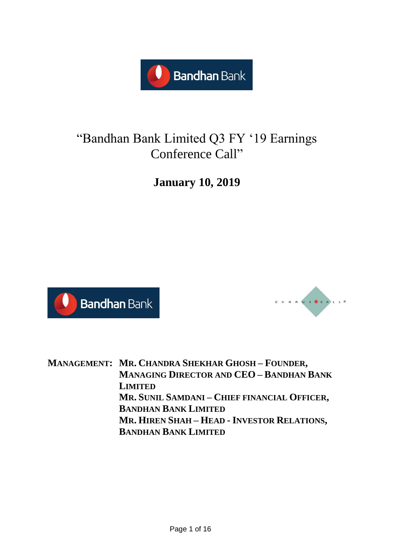

# "Bandhan Bank Limited Q3 FY '19 Earnings Conference Call"

**January 10, 2019**





**MANAGEMENT: MR. CHANDRA SHEKHAR GHOSH – FOUNDER, MANAGING DIRECTOR AND CEO – BANDHAN BANK LIMITED MR. SUNIL SAMDANI – CHIEF FINANCIAL OFFICER, BANDHAN BANK LIMITED MR. HIREN SHAH – HEAD - INVESTOR RELATIONS, BANDHAN BANK LIMITED**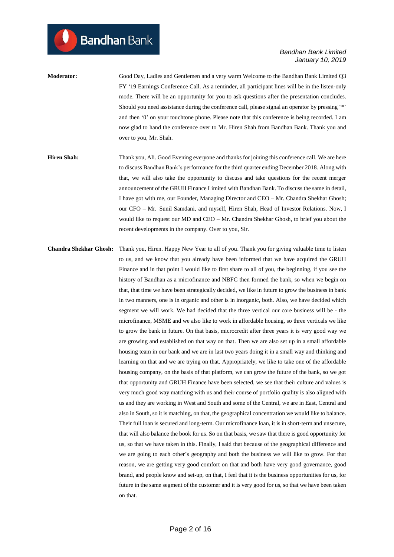**Moderator:** Good Day, Ladies and Gentlemen and a very warm Welcome to the Bandhan Bank Limited Q3 FY '19 Earnings Conference Call. As a reminder, all participant lines will be in the listen-only mode. There will be an opportunity for you to ask questions after the presentation concludes. Should you need assistance during the conference call, please signal an operator by pressing '\*' and then '0' on your touchtone phone. Please note that this conference is being recorded. I am now glad to hand the conference over to Mr. Hiren Shah from Bandhan Bank. Thank you and over to you, Mr. Shah.

**Hiren Shah:** Thank you, Ali. Good Evening everyone and thanks for joining this conference call. We are here to discuss Bandhan Bank's performance for the third quarter ending December 2018. Along with that, we will also take the opportunity to discuss and take questions for the recent merger announcement of the GRUH Finance Limited with Bandhan Bank. To discuss the same in detail, I have got with me, our Founder, Managing Director and CEO – Mr. Chandra Shekhar Ghosh; our CFO – Mr. Sunil Samdani, and myself, Hiren Shah, Head of Investor Relations. Now, I would like to request our MD and CEO – Mr. Chandra Shekhar Ghosh, to brief you about the recent developments in the company. Over to you, Sir.

**Chandra Shekhar Ghosh:** Thank you, Hiren. Happy New Year to all of you. Thank you for giving valuable time to listen to us, and we know that you already have been informed that we have acquired the GRUH Finance and in that point I would like to first share to all of you, the beginning, if you see the history of Bandhan as a microfinance and NBFC then formed the bank, so when we begin on that, that time we have been strategically decided, we like in future to grow the business in bank in two manners, one is in organic and other is in inorganic, both. Also, we have decided which segment we will work. We had decided that the three vertical our core business will be - the microfinance, MSME and we also like to work in affordable housing, so three verticals we like to grow the bank in future. On that basis, microcredit after three years it is very good way we are growing and established on that way on that. Then we are also set up in a small affordable housing team in our bank and we are in last two years doing it in a small way and thinking and learning on that and we are trying on that. Appropriately, we like to take one of the affordable housing company, on the basis of that platform, we can grow the future of the bank, so we got that opportunity and GRUH Finance have been selected, we see that their culture and values is very much good way matching with us and their course of portfolio quality is also aligned with us and they are working in West and South and some of the Central, we are in East, Central and also in South, so it is matching, on that, the geographical concentration we would like to balance. Their full loan is secured and long-term. Our microfinance loan, it is in short-term and unsecure, that will also balance the book for us. So on that basis, we saw that there is good opportunity for us, so that we have taken in this. Finally, I said that because of the geographical difference and we are going to each other's geography and both the business we will like to grow. For that reason, we are getting very good comfort on that and both have very good governance, good brand, and people know and set-up, on that, I feel that it is the business opportunities for us, for future in the same segment of the customer and it is very good for us, so that we have been taken on that.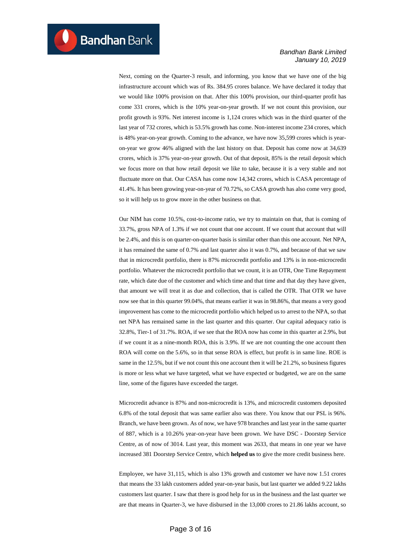Next, coming on the Quarter-3 result, and informing, you know that we have one of the big infrastructure account which was of Rs. 384.95 crores balance. We have declared it today that we would like 100% provision on that. After this 100% provision, our third-quarter profit has come 331 crores, which is the 10% year-on-year growth. If we not count this provision, our profit growth is 93%. Net interest income is 1,124 crores which was in the third quarter of the last year of 732 crores, which is 53.5% growth has come. Non-interest income 234 crores, which is 48% year-on-year growth. Coming to the advance, we have now 35,599 crores which is yearon-year we grow 46% aligned with the last history on that. Deposit has come now at 34,639 crores, which is 37% year-on-year growth. Out of that deposit, 85% is the retail deposit which we focus more on that how retail deposit we like to take, because it is a very stable and not fluctuate more on that. Our CASA has come now 14,342 crores, which is CASA percentage of 41.4%. It has been growing year-on-year of 70.72%, so CASA growth has also come very good, so it will help us to grow more in the other business on that.

Our NIM has come 10.5%, cost-to-income ratio, we try to maintain on that, that is coming of 33.7%, gross NPA of 1.3% if we not count that one account. If we count that account that will be 2.4%, and this is on quarter-on-quarter basis is similar other than this one account. Net NPA, it has remained the same of 0.7% and last quarter also it was 0.7%, and because of that we saw that in microcredit portfolio, there is 87% microcredit portfolio and 13% is in non-microcredit portfolio. Whatever the microcredit portfolio that we count, it is an OTR, One Time Repayment rate, which date due of the customer and which time and that time and that day they have given, that amount we will treat it as due and collection, that is called the OTR. That OTR we have now see that in this quarter 99.04%, that means earlier it was in 98.86%, that means a very good improvement has come to the microcredit portfolio which helped us to arrest to the NPA, so that net NPA has remained same in the last quarter and this quarter. Our capital adequacy ratio is 32.8%, Tier-1 of 31.7%. ROA, if we see that the ROA now has come in this quarter at 2.9%, but if we count it as a nine-month ROA, this is 3.9%. If we are not counting the one account then ROA will come on the 5.6%, so in that sense ROA is effect, but profit is in same line. ROE is same in the 12.5%, but if we not count this one account then it will be 21.2%, so business figures is more or less what we have targeted, what we have expected or budgeted, we are on the same line, some of the figures have exceeded the target.

Microcredit advance is 87% and non-microcredit is 13%, and microcredit customers deposited 6.8% of the total deposit that was same earlier also was there. You know that our PSL is 96%. Branch, we have been grown. As of now, we have 978 branches and last year in the same quarter of 887, which is a 10.26% year-on-year have been grown. We have DSC - Doorstep Service Centre, as of now of 3014. Last year, this moment was 2633, that means in one year we have increased 381 Doorstep Service Centre, which **helped us** to give the more credit business here.

Employee, we have 31,115, which is also 13% growth and customer we have now 1.51 crores that means the 33 lakh customers added year-on-year basis, but last quarter we added 9.22 lakhs customers last quarter. I saw that there is good help for us in the business and the last quarter we are that means in Quarter-3, we have disbursed in the 13,000 crores to 21.86 lakhs account, so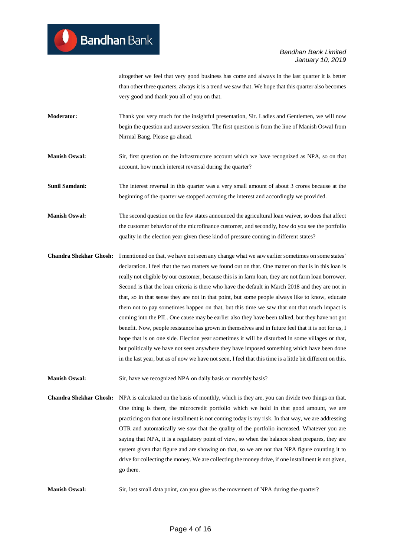altogether we feel that very good business has come and always in the last quarter it is better than other three quarters, always it is a trend we saw that. We hope that this quarter also becomes very good and thank you all of you on that.

- **Moderator:** Thank you very much for the insightful presentation, Sir. Ladies and Gentlemen, we will now begin the question and answer session. The first question is from the line of Manish Oswal from Nirmal Bang. Please go ahead.
- **Manish Oswal:** Sir, first question on the infrastructure account which we have recognized as NPA, so on that account, how much interest reversal during the quarter?
- **Sunil Samdani:** The interest reversal in this quarter was a very small amount of about 3 crores because at the beginning of the quarter we stopped accruing the interest and accordingly we provided.
- **Manish Oswal:** The second question on the few states announced the agricultural loan waiver, so does that affect the customer behavior of the microfinance customer, and secondly, how do you see the portfolio quality in the election year given these kind of pressure coming in different states?
- **Chandra Shekhar Ghosh:** I mentioned on that, we have not seen any change what we saw earlier sometimes on some states' declaration. I feel that the two matters we found out on that. One matter on that is in this loan is really not eligible by our customer, because this is in farm loan, they are not farm loan borrower. Second is that the loan criteria is there who have the default in March 2018 and they are not in that, so in that sense they are not in that point, but some people always like to know, educate them not to pay sometimes happen on that, but this time we saw that not that much impact is coming into the PIL. One cause may be earlier also they have been talked, but they have not got benefit. Now, people resistance has grown in themselves and in future feel that it is not for us, I hope that is on one side. Election year sometimes it will be disturbed in some villages or that, but politically we have not seen anywhere they have imposed something which have been done in the last year, but as of now we have not seen, I feel that this time is a little bit different on this.
- **Manish Oswal:** Sir, have we recognized NPA on daily basis or monthly basis?
- **Chandra Shekhar Ghosh:** NPA is calculated on the basis of monthly, which is they are, you can divide two things on that. One thing is there, the microcredit portfolio which we hold in that good amount, we are practicing on that one installment is not coming today is my risk. In that way, we are addressing OTR and automatically we saw that the quality of the portfolio increased. Whatever you are saying that NPA, it is a regulatory point of view, so when the balance sheet prepares, they are system given that figure and are showing on that, so we are not that NPA figure counting it to drive for collecting the money. We are collecting the money drive, if one installment is not given, go there.
- **Manish Oswal:** Sir, last small data point, can you give us the movement of NPA during the quarter?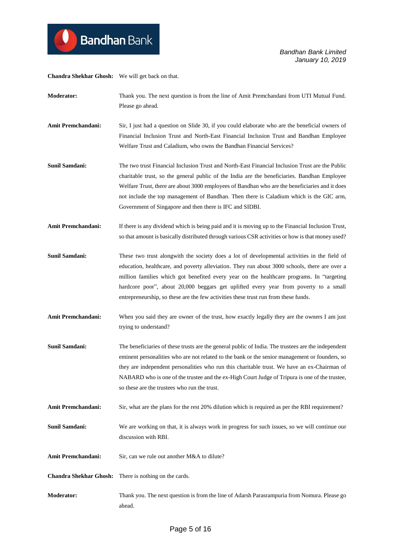**Chandra Shekhar Ghosh:** We will get back on that.

**Moderator:** Thank you. The next question is from the line of Amit Premchandani from UTI Mutual Fund. Please go ahead.

**Amit Premchandani:** Sir, I just had a question on Slide 30, if you could elaborate who are the beneficial owners of Financial Inclusion Trust and North-East Financial Inclusion Trust and Bandhan Employee Welfare Trust and Caladium, who owns the Bandhan Financial Services?

- **Sunil Samdani:** The two trust Financial Inclusion Trust and North-East Financial Inclusion Trust are the Public charitable trust, so the general public of the India are the beneficiaries. Bandhan Employee Welfare Trust, there are about 3000 employees of Bandhan who are the beneficiaries and it does not include the top management of Bandhan. Then there is Caladium which is the GIC arm, Government of Singapore and then there is IFC and SIDBI.
- **Amit Premchandani:** If there is any dividend which is being paid and it is moving up to the Financial Inclusion Trust, so that amount is basically distributed through various CSR activities or how is that money used?
- **Sunil Samdani:** These two trust alongwith the society does a lot of developmental activities in the field of education, healthcare, and poverty alleviation. They run about 3000 schools, there are over a million families which got benefited every year on the healthcare programs. In "targeting hardcore poor", about 20,000 beggars get uplifted every year from poverty to a small entrepreneurship, so these are the few activities these trust run from these funds.
- **Amit Premchandani:** When you said they are owner of the trust, how exactly legally they are the owners I am just trying to understand?
- **Sunil Samdani:** The beneficiaries of these trusts are the general public of India. The trustees are the independent eminent personalities who are not related to the bank or the senior management or founders, so they are independent personalities who run this charitable trust. We have an ex-Chairman of NABARD who is one of the trustee and the ex-High Court Judge of Tripura is one of the trustee, so these are the trustees who run the trust.
- **Amit Premchandani:** Sir, what are the plans for the rest 20% dilution which is required as per the RBI requirement?
- **Sunil Samdani:** We are working on that, it is always work in progress for such issues, so we will continue our discussion with RBI.
- Amit Premchandani: Sir, can we rule out another M&A to dilute?
- **Chandra Shekhar Ghosh:** There is nothing on the cards.
- **Moderator:** Thank you. The next question is from the line of Adarsh Parasrampuria from Nomura. Please go ahead.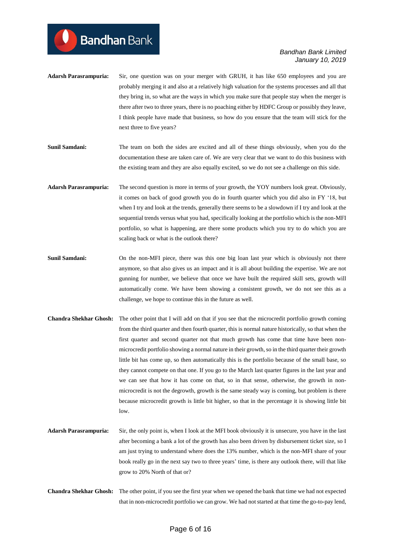- **Adarsh Parasrampuria:** Sir, one question was on your merger with GRUH, it has like 650 employees and you are probably merging it and also at a relatively high valuation for the systems processes and all that they bring in, so what are the ways in which you make sure that people stay when the merger is there after two to three years, there is no poaching either by HDFC Group or possibly they leave, I think people have made that business, so how do you ensure that the team will stick for the next three to five years?
- **Sunil Samdani:** The team on both the sides are excited and all of these things obviously, when you do the documentation these are taken care of. We are very clear that we want to do this business with the existing team and they are also equally excited, so we do not see a challenge on this side.
- **Adarsh Parasrampuria:** The second question is more in terms of your growth, the YOY numbers look great. Obviously, it comes on back of good growth you do in fourth quarter which you did also in FY '18, but when I try and look at the trends, generally there seems to be a slowdown if I try and look at the sequential trends versus what you had, specifically looking at the portfolio which is the non-MFI portfolio, so what is happening, are there some products which you try to do which you are scaling back or what is the outlook there?
- **Sunil Samdani:** On the non-MFI piece, there was this one big loan last year which is obviously not there anymore, so that also gives us an impact and it is all about building the expertise. We are not gunning for number, we believe that once we have built the required skill sets, growth will automatically come. We have been showing a consistent growth, we do not see this as a challenge, we hope to continue this in the future as well.
- **Chandra Shekhar Ghosh:** The other point that I will add on that if you see that the microcredit portfolio growth coming from the third quarter and then fourth quarter, this is normal nature historically, so that when the first quarter and second quarter not that much growth has come that time have been nonmicrocredit portfolio showing a normal nature in their growth, so in the third quarter their growth little bit has come up, so then automatically this is the portfolio because of the small base, so they cannot compete on that one. If you go to the March last quarter figures in the last year and we can see that how it has come on that, so in that sense, otherwise, the growth in nonmicrocredit is not the degrowth, growth is the same steady way is coming, but problem is there because microcredit growth is little bit higher, so that in the percentage it is showing little bit low.
- **Adarsh Parasrampuria:** Sir, the only point is, when I look at the MFI book obviously it is unsecure, you have in the last after becoming a bank a lot of the growth has also been driven by disbursement ticket size, so I am just trying to understand where does the 13% number, which is the non-MFI share of your book really go in the next say two to three years' time, is there any outlook there, will that like grow to 20% North of that or?
- **Chandra Shekhar Ghosh:** The other point, if you see the first year when we opened the bank that time we had not expected that in non-microcredit portfolio we can grow. We had not started at that time the go-to-pay lend,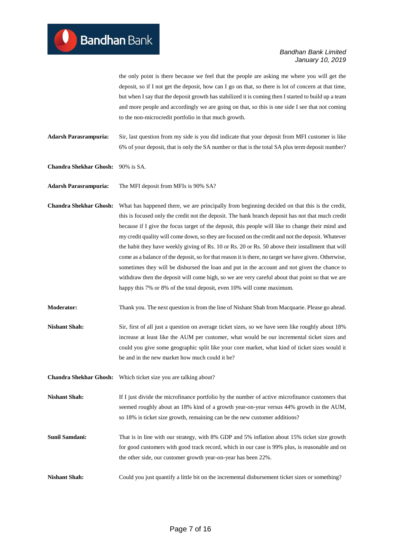the only point is there because we feel that the people are asking me where you will get the deposit, so if I not get the deposit, how can I go on that, so there is lot of concern at that time, but when I say that the deposit growth has stabilized it is coming then I started to build up a team and more people and accordingly we are going on that, so this is one side I see that not coming to the non-microcredit portfolio in that much growth.

**Adarsh Parasrampuria:** Sir, last question from my side is you did indicate that your deposit from MFI customer is like 6% of your deposit, that is only the SA number or that is the total SA plus term deposit number?

**Chandra Shekhar Ghosh:** 90% is SA.

**Adarsh Parasrampuria:** The MFI deposit from MFIs is 90% SA?

**Chandra Shekhar Ghosh:** What has happened there, we are principally from beginning decided on that this is the credit, this is focused only the credit not the deposit. The bank branch deposit has not that much credit because if I give the focus target of the deposit, this people will like to change their mind and my credit quality will come down, so they are focused on the credit and not the deposit. Whatever the habit they have weekly giving of Rs. 10 or Rs. 20 or Rs. 50 above their installment that will come as a balance of the deposit, so for that reason it is there, no target we have given. Otherwise, sometimes they will be disbursed the loan and put in the account and not given the chance to withdraw then the deposit will come high, so we are very careful about that point so that we are happy this 7% or 8% of the total deposit, even 10% will come maximum.

**Moderator:** Thank you. The next question is from the line of Nishant Shah from Macquarie. Please go ahead.

**Nishant Shah:** Sir, first of all just a question on average ticket sizes, so we have seen like roughly about 18% increase at least like the AUM per customer, what would be our incremental ticket sizes and could you give some geographic split like your core market, what kind of ticket sizes would it be and in the new market how much could it be?

**Chandra Shekhar Ghosh:** Which ticket size you are talking about?

**Nishant Shah:** If I just divide the microfinance portfolio by the number of active microfinance customers that seemed roughly about an 18% kind of a growth year-on-year versus 44% growth in the AUM, so 18% is ticket size growth, remaining can be the new customer additions?

**Sunil Samdani:** That is in line with our strategy, with 8% GDP and 5% inflation about 15% ticket size growth for good customers with good track record, which in our case is 99% plus, is reasonable and on the other side, our customer growth year-on-year has been 22%.

**Nishant Shah:** Could you just quantify a little bit on the incremental disbursement ticket sizes or something?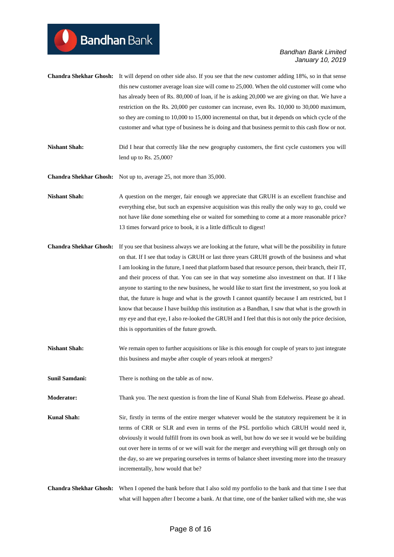- **Chandra Shekhar Ghosh:** It will depend on other side also. If you see that the new customer adding 18%, so in that sense this new customer average loan size will come to 25,000. When the old customer will come who has already been of Rs. 80,000 of loan, if he is asking 20,000 we are giving on that. We have a restriction on the Rs. 20,000 per customer can increase, even Rs. 10,000 to 30,000 maximum, so they are coming to 10,000 to 15,000 incremental on that, but it depends on which cycle of the customer and what type of business he is doing and that business permit to this cash flow or not.
- **Nishant Shah:** Did I hear that correctly like the new geography customers, the first cycle customers you will lend up to Rs. 25,000?
- **Chandra Shekhar Ghosh:** Not up to, average 25, not more than 35,000.
- **Nishant Shah:** A question on the merger, fair enough we appreciate that GRUH is an excellent franchise and everything else, but such an expensive acquisition was this really the only way to go, could we not have like done something else or waited for something to come at a more reasonable price? 13 times forward price to book, it is a little difficult to digest!
- **Chandra Shekhar Ghosh:** If you see that business always we are looking at the future, what will be the possibility in future on that. If I see that today is GRUH or last three years GRUH growth of the business and what I am looking in the future, I need that platform based that resource person, their branch, their IT, and their process of that. You can see in that way sometime also investment on that. If I like anyone to starting to the new business, he would like to start first the investment, so you look at that, the future is huge and what is the growth I cannot quantify because I am restricted, but I know that because I have buildup this institution as a Bandhan, I saw that what is the growth in my eye and that eye, I also re-looked the GRUH and I feel that this is not only the price decision, this is opportunities of the future growth.
- **Nishant Shah:** We remain open to further acquisitions or like is this enough for couple of years to just integrate this business and maybe after couple of years relook at mergers?
- **Sunil Samdani:** There is nothing on the table as of now.
- **Moderator:** Thank you. The next question is from the line of Kunal Shah from Edelweiss. Please go ahead.
- **Kunal Shah:** Sir, firstly in terms of the entire merger whatever would be the statutory requirement be it in terms of CRR or SLR and even in terms of the PSL portfolio which GRUH would need it, obviously it would fulfill from its own book as well, but how do we see it would we be building out over here in terms of or we will wait for the merger and everything will get through only on the day, so are we preparing ourselves in terms of balance sheet investing more into the treasury incrementally, how would that be?
- **Chandra Shekhar Ghosh:** When I opened the bank before that I also sold my portfolio to the bank and that time I see that what will happen after I become a bank. At that time, one of the banker talked with me, she was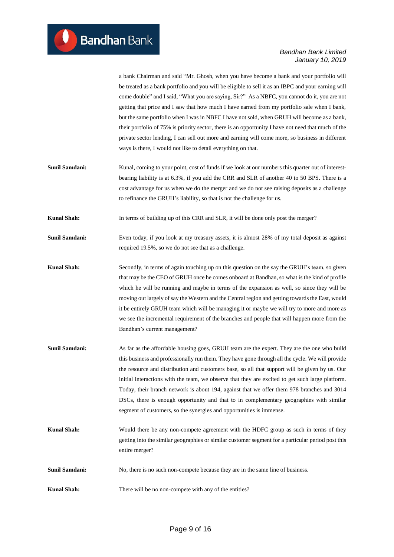a bank Chairman and said "Mr. Ghosh, when you have become a bank and your portfolio will be treated as a bank portfolio and you will be eligible to sell it as an IBPC and your earning will come double" and I said, "What you are saying, Sir?" As a NBFC, you cannot do it, you are not getting that price and I saw that how much I have earned from my portfolio sale when I bank, but the same portfolio when I was in NBFC I have not sold, when GRUH will become as a bank, their portfolio of 75% is priority sector, there is an opportunity I have not need that much of the private sector lending, I can sell out more and earning will come more, so business in different ways is there, I would not like to detail everything on that.

**Sunil Samdani:** Kunal, coming to your point, cost of funds if we look at our numbers this quarter out of interestbearing liability is at 6.3%, if you add the CRR and SLR of another 40 to 50 BPS. There is a cost advantage for us when we do the merger and we do not see raising deposits as a challenge to refinance the GRUH's liability, so that is not the challenge for us.

**Kunal Shah:** In terms of building up of this CRR and SLR, it will be done only post the merger?

- **Sunil Samdani:** Even today, if you look at my treasury assets, it is almost 28% of my total deposit as against required 19.5%, so we do not see that as a challenge.
- **Kunal Shah:** Secondly, in terms of again touching up on this question on the say the GRUH's team, so given that may be the CEO of GRUH once he comes onboard at Bandhan, so what is the kind of profile which he will be running and maybe in terms of the expansion as well, so since they will be moving out largely of say the Western and the Central region and getting towards the East, would it be entirely GRUH team which will be managing it or maybe we will try to more and more as we see the incremental requirement of the branches and people that will happen more from the Bandhan's current management?
- **Sunil Samdani:** As far as the affordable housing goes, GRUH team are the expert. They are the one who build this business and professionally run them. They have gone through all the cycle. We will provide the resource and distribution and customers base, so all that support will be given by us. Our initial interactions with the team, we observe that they are excited to get such large platform. Today, their branch network is about 194, against that we offer them 978 branches and 3014 DSCs, there is enough opportunity and that to in complementary geographies with similar segment of customers, so the synergies and opportunities is immense.
- **Kunal Shah:** Would there be any non-compete agreement with the HDFC group as such in terms of they getting into the similar geographies or similar customer segment for a particular period post this entire merger?
- **Sunil Samdani:** No, there is no such non-compete because they are in the same line of business.
- **Kunal Shah:** There will be no non-compete with any of the entities?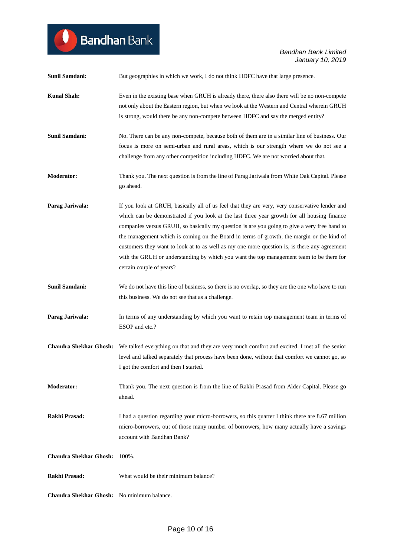# <sup>1</sup> Bandhan Bank

| <b>Sunil Samdani:</b>                      | But geographies in which we work, I do not think HDFC have that large presence.                                                                                                                                                                                                                                                                                                                                                                                                                                                                                                                                    |
|--------------------------------------------|--------------------------------------------------------------------------------------------------------------------------------------------------------------------------------------------------------------------------------------------------------------------------------------------------------------------------------------------------------------------------------------------------------------------------------------------------------------------------------------------------------------------------------------------------------------------------------------------------------------------|
| <b>Kunal Shah:</b>                         | Even in the existing base when GRUH is already there, there also there will be no non-compete<br>not only about the Eastern region, but when we look at the Western and Central wherein GRUH<br>is strong, would there be any non-compete between HDFC and say the merged entity?                                                                                                                                                                                                                                                                                                                                  |
| Sunil Samdani:                             | No. There can be any non-compete, because both of them are in a similar line of business. Our<br>focus is more on semi-urban and rural areas, which is our strength where we do not see a<br>challenge from any other competition including HDFC. We are not worried about that.                                                                                                                                                                                                                                                                                                                                   |
| <b>Moderator:</b>                          | Thank you. The next question is from the line of Parag Jariwala from White Oak Capital. Please<br>go ahead.                                                                                                                                                                                                                                                                                                                                                                                                                                                                                                        |
| Parag Jariwala:                            | If you look at GRUH, basically all of us feel that they are very, very conservative lender and<br>which can be demonstrated if you look at the last three year growth for all housing finance<br>companies versus GRUH, so basically my question is are you going to give a very free hand to<br>the management which is coming on the Board in terms of growth, the margin or the kind of<br>customers they want to look at to as well as my one more question is, is there any agreement<br>with the GRUH or understanding by which you want the top management team to be there for<br>certain couple of years? |
| Sunil Samdani:                             | We do not have this line of business, so there is no overlap, so they are the one who have to run<br>this business. We do not see that as a challenge.                                                                                                                                                                                                                                                                                                                                                                                                                                                             |
| Parag Jariwala:                            | In terms of any understanding by which you want to retain top management team in terms of<br>ESOP and etc.?                                                                                                                                                                                                                                                                                                                                                                                                                                                                                                        |
|                                            | Chandra Shekhar Ghosh: We talked everything on that and they are very much comfort and excited. I met all the senior<br>level and talked separately that process have been done, without that comfort we cannot go, so<br>I got the comfort and then I started.                                                                                                                                                                                                                                                                                                                                                    |
| <b>Moderator:</b>                          | Thank you. The next question is from the line of Rakhi Prasad from Alder Capital. Please go<br>ahead.                                                                                                                                                                                                                                                                                                                                                                                                                                                                                                              |
| Rakhi Prasad:                              | I had a question regarding your micro-borrowers, so this quarter I think there are 8.67 million<br>micro-borrowers, out of those many number of borrowers, how many actually have a savings<br>account with Bandhan Bank?                                                                                                                                                                                                                                                                                                                                                                                          |
| <b>Chandra Shekhar Ghosh:</b>              | 100%.                                                                                                                                                                                                                                                                                                                                                                                                                                                                                                                                                                                                              |
| Rakhi Prasad:                              | What would be their minimum balance?                                                                                                                                                                                                                                                                                                                                                                                                                                                                                                                                                                               |
| Chandra Shekhar Ghosh: No minimum balance. |                                                                                                                                                                                                                                                                                                                                                                                                                                                                                                                                                                                                                    |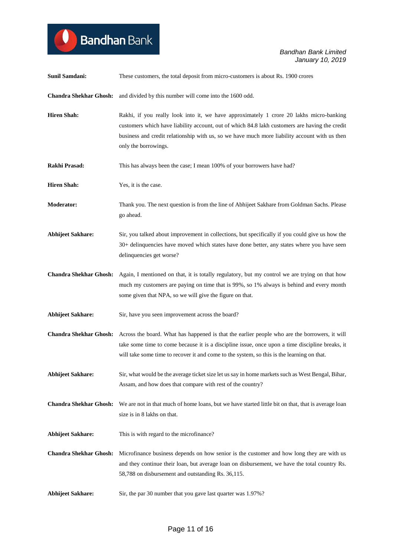| <b>Sunil Samdani:</b>         | These customers, the total deposit from micro-customers is about Rs. 1900 crores                                                                                                                                                                                                                                      |
|-------------------------------|-----------------------------------------------------------------------------------------------------------------------------------------------------------------------------------------------------------------------------------------------------------------------------------------------------------------------|
|                               | Chandra Shekhar Ghosh: and divided by this number will come into the 1600 odd.                                                                                                                                                                                                                                        |
| <b>Hiren Shah:</b>            | Rakhi, if you really look into it, we have approximately 1 crore 20 lakhs micro-banking<br>customers which have liability account, out of which 84.8 lakh customers are having the credit<br>business and credit relationship with us, so we have much more liability account with us then<br>only the borrowings.    |
| Rakhi Prasad:                 | This has always been the case; I mean 100% of your borrowers have had?                                                                                                                                                                                                                                                |
| <b>Hiren Shah:</b>            | Yes, it is the case.                                                                                                                                                                                                                                                                                                  |
| <b>Moderator:</b>             | Thank you. The next question is from the line of Abhijeet Sakhare from Goldman Sachs. Please<br>go ahead.                                                                                                                                                                                                             |
| <b>Abhijeet Sakhare:</b>      | Sir, you talked about improvement in collections, but specifically if you could give us how the<br>30+ delinquencies have moved which states have done better, any states where you have seen<br>delinquencies get worse?                                                                                             |
| <b>Chandra Shekhar Ghosh:</b> | Again, I mentioned on that, it is totally regulatory, but my control we are trying on that how<br>much my customers are paying on time that is 99%, so 1% always is behind and every month<br>some given that NPA, so we will give the figure on that.                                                                |
| <b>Abhijeet Sakhare:</b>      | Sir, have you seen improvement across the board?                                                                                                                                                                                                                                                                      |
|                               | Chandra Shekhar Ghosh: Across the board. What has happened is that the earlier people who are the borrowers, it will<br>take some time to come because it is a discipline issue, once upon a time discipline breaks, it<br>will take some time to recover it and come to the system, so this is the learning on that. |
| <b>Abhijeet Sakhare:</b>      | Sir, what would be the average ticket size let us say in home markets such as West Bengal, Bihar,<br>Assam, and how does that compare with rest of the country?                                                                                                                                                       |
| <b>Chandra Shekhar Ghosh:</b> | We are not in that much of home loans, but we have started little bit on that, that is average loan<br>size is in 8 lakhs on that.                                                                                                                                                                                    |
| <b>Abhijeet Sakhare:</b>      | This is with regard to the microfinance?                                                                                                                                                                                                                                                                              |
| <b>Chandra Shekhar Ghosh:</b> | Microfinance business depends on how senior is the customer and how long they are with us<br>and they continue their loan, but average loan on disbursement, we have the total country Rs.<br>58,788 on disbursement and outstanding Rs. 36,115.                                                                      |
| <b>Abhijeet Sakhare:</b>      | Sir, the par 30 number that you gave last quarter was 1.97%?                                                                                                                                                                                                                                                          |

**Bandhan** Bank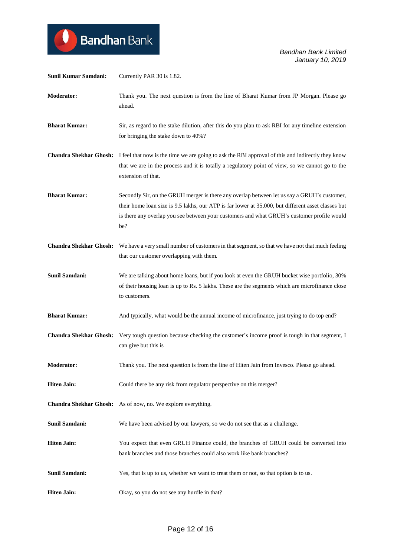

| Sunil Kumar Samdani:          | Currently PAR 30 is 1.82.                                                                                                                                                                                                                                                                              |
|-------------------------------|--------------------------------------------------------------------------------------------------------------------------------------------------------------------------------------------------------------------------------------------------------------------------------------------------------|
| <b>Moderator:</b>             | Thank you. The next question is from the line of Bharat Kumar from JP Morgan. Please go<br>ahead.                                                                                                                                                                                                      |
| <b>Bharat Kumar:</b>          | Sir, as regard to the stake dilution, after this do you plan to ask RBI for any timeline extension<br>for bringing the stake down to 40%?                                                                                                                                                              |
|                               | Chandra Shekhar Ghosh: I feel that now is the time we are going to ask the RBI approval of this and indirectly they know<br>that we are in the process and it is totally a regulatory point of view, so we cannot go to the<br>extension of that.                                                      |
| <b>Bharat Kumar:</b>          | Secondly Sir, on the GRUH merger is there any overlap between let us say a GRUH's customer,<br>their home loan size is 9.5 lakhs, our ATP is far lower at 35,000, but different asset classes but<br>is there any overlap you see between your customers and what GRUH's customer profile would<br>be? |
|                               | Chandra Shekhar Ghosh: We have a very small number of customers in that segment, so that we have not that much feeling<br>that our customer overlapping with them.                                                                                                                                     |
| <b>Sunil Samdani:</b>         | We are talking about home loans, but if you look at even the GRUH bucket wise portfolio, 30%<br>of their housing loan is up to Rs. 5 lakhs. These are the segments which are microfinance close<br>to customers.                                                                                       |
| <b>Bharat Kumar:</b>          | And typically, what would be the annual income of microfinance, just trying to do top end?                                                                                                                                                                                                             |
| <b>Chandra Shekhar Ghosh:</b> | Very tough question because checking the customer's income proof is tough in that segment, I<br>can give but this is                                                                                                                                                                                   |
| <b>Moderator:</b>             | Thank you. The next question is from the line of Hiten Jain from Invesco. Please go ahead.                                                                                                                                                                                                             |
| <b>Hiten Jain:</b>            | Could there be any risk from regulator perspective on this merger?                                                                                                                                                                                                                                     |
|                               | <b>Chandra Shekhar Ghosh:</b> As of now, no. We explore everything.                                                                                                                                                                                                                                    |
| <b>Sunil Samdani:</b>         | We have been advised by our lawyers, so we do not see that as a challenge.                                                                                                                                                                                                                             |
| <b>Hiten Jain:</b>            | You expect that even GRUH Finance could, the branches of GRUH could be converted into<br>bank branches and those branches could also work like bank branches?                                                                                                                                          |
| <b>Sunil Samdani:</b>         | Yes, that is up to us, whether we want to treat them or not, so that option is to us.                                                                                                                                                                                                                  |
| <b>Hiten Jain:</b>            | Okay, so you do not see any hurdle in that?                                                                                                                                                                                                                                                            |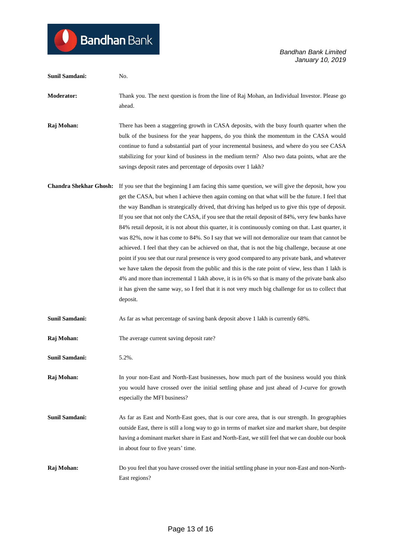| Sunil Samdani:                | No.                                                                                                                                                                                                                                                                                                                                                                                                                                                                                                                                                                                                                                                                                                                                                                                                                                                                                                                                                                                                                                                                                                                                                       |
|-------------------------------|-----------------------------------------------------------------------------------------------------------------------------------------------------------------------------------------------------------------------------------------------------------------------------------------------------------------------------------------------------------------------------------------------------------------------------------------------------------------------------------------------------------------------------------------------------------------------------------------------------------------------------------------------------------------------------------------------------------------------------------------------------------------------------------------------------------------------------------------------------------------------------------------------------------------------------------------------------------------------------------------------------------------------------------------------------------------------------------------------------------------------------------------------------------|
| <b>Moderator:</b>             | Thank you. The next question is from the line of Raj Mohan, an Individual Investor. Please go<br>ahead.                                                                                                                                                                                                                                                                                                                                                                                                                                                                                                                                                                                                                                                                                                                                                                                                                                                                                                                                                                                                                                                   |
| Raj Mohan:                    | There has been a staggering growth in CASA deposits, with the busy fourth quarter when the<br>bulk of the business for the year happens, do you think the momentum in the CASA would<br>continue to fund a substantial part of your incremental business, and where do you see CASA<br>stabilizing for your kind of business in the medium term? Also two data points, what are the<br>savings deposit rates and percentage of deposits over 1 lakh?                                                                                                                                                                                                                                                                                                                                                                                                                                                                                                                                                                                                                                                                                                      |
| <b>Chandra Shekhar Ghosh:</b> | If you see that the beginning I am facing this same question, we will give the deposit, how you<br>get the CASA, but when I achieve then again coming on that what will be the future. I feel that<br>the way Bandhan is strategically drived, that driving has helped us to give this type of deposit.<br>If you see that not only the CASA, if you see that the retail deposit of 84%, very few banks have<br>84% retail deposit, it is not about this quarter, it is continuously coming on that. Last quarter, it<br>was 82%, now it has come to 84%. So I say that we will not demoralize our team that cannot be<br>achieved. I feel that they can be achieved on that, that is not the big challenge, because at one<br>point if you see that our rural presence is very good compared to any private bank, and whatever<br>we have taken the deposit from the public and this is the rate point of view, less than 1 lakh is<br>4% and more than incremental 1 lakh above, it is in 6% so that is many of the private bank also<br>it has given the same way, so I feel that it is not very much big challenge for us to collect that<br>deposit. |
| <b>Sunil Samdani:</b>         | As far as what percentage of saving bank deposit above 1 lakh is currently 68%.                                                                                                                                                                                                                                                                                                                                                                                                                                                                                                                                                                                                                                                                                                                                                                                                                                                                                                                                                                                                                                                                           |
| Raj Mohan:                    | The average current saving deposit rate?                                                                                                                                                                                                                                                                                                                                                                                                                                                                                                                                                                                                                                                                                                                                                                                                                                                                                                                                                                                                                                                                                                                  |
| <b>Sunil Samdani:</b>         | 5.2%.                                                                                                                                                                                                                                                                                                                                                                                                                                                                                                                                                                                                                                                                                                                                                                                                                                                                                                                                                                                                                                                                                                                                                     |
| Raj Mohan:                    | In your non-East and North-East businesses, how much part of the business would you think<br>you would have crossed over the initial settling phase and just ahead of J-curve for growth<br>especially the MFI business?                                                                                                                                                                                                                                                                                                                                                                                                                                                                                                                                                                                                                                                                                                                                                                                                                                                                                                                                  |
| <b>Sunil Samdani:</b>         | As far as East and North-East goes, that is our core area, that is our strength. In geographies<br>outside East, there is still a long way to go in terms of market size and market share, but despite<br>having a dominant market share in East and North-East, we still feel that we can double our book<br>in about four to five years' time.                                                                                                                                                                                                                                                                                                                                                                                                                                                                                                                                                                                                                                                                                                                                                                                                          |
| Raj Mohan:                    | Do you feel that you have crossed over the initial settling phase in your non-East and non-North-<br>East regions?                                                                                                                                                                                                                                                                                                                                                                                                                                                                                                                                                                                                                                                                                                                                                                                                                                                                                                                                                                                                                                        |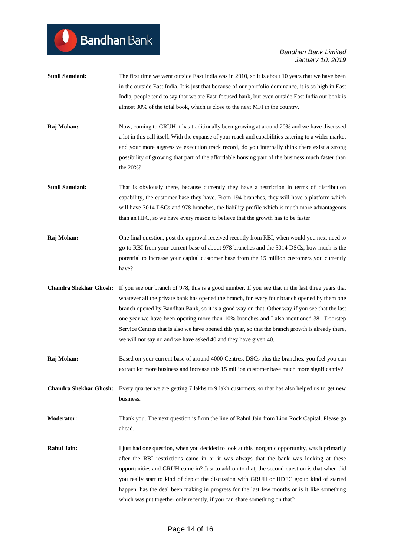| <b>Sunil Samdani:</b>         | The first time we went outside East India was in 2010, so it is about 10 years that we have been<br>in the outside East India. It is just that because of our portfolio dominance, it is so high in East<br>India, people tend to say that we are East-focused bank, but even outside East India our book is<br>almost 30% of the total book, which is close to the next MFI in the country.                                                                                                                                                                            |
|-------------------------------|-------------------------------------------------------------------------------------------------------------------------------------------------------------------------------------------------------------------------------------------------------------------------------------------------------------------------------------------------------------------------------------------------------------------------------------------------------------------------------------------------------------------------------------------------------------------------|
| Raj Mohan:                    | Now, coming to GRUH it has traditionally been growing at around 20% and we have discussed<br>a lot in this call itself. With the expanse of your reach and capabilities catering to a wider market<br>and your more aggressive execution track record, do you internally think there exist a strong<br>possibility of growing that part of the affordable housing part of the business much faster than<br>the 20%?                                                                                                                                                     |
| Sunil Samdani:                | That is obviously there, because currently they have a restriction in terms of distribution<br>capability, the customer base they have. From 194 branches, they will have a platform which<br>will have 3014 DSCs and 978 branches, the liability profile which is much more advantageous<br>than an HFC, so we have every reason to believe that the growth has to be faster.                                                                                                                                                                                          |
| Raj Mohan:                    | One final question, post the approval received recently from RBI, when would you next need to<br>go to RBI from your current base of about 978 branches and the 3014 DSCs, how much is the<br>potential to increase your capital customer base from the 15 million customers you currently<br>have?                                                                                                                                                                                                                                                                     |
| <b>Chandra Shekhar Ghosh:</b> | If you see our branch of 978, this is a good number. If you see that in the last three years that<br>whatever all the private bank has opened the branch, for every four branch opened by them one<br>branch opened by Bandhan Bank, so it is a good way on that. Other way if you see that the last<br>one year we have been opening more than 10% branches and I also mentioned 381 Doorstep<br>Service Centres that is also we have opened this year, so that the branch growth is already there,<br>we will not say no and we have asked 40 and they have given 40. |
| Raj Mohan:                    | Based on your current base of around 4000 Centres, DSCs plus the branches, you feel you can<br>extract lot more business and increase this 15 million customer base much more significantly?                                                                                                                                                                                                                                                                                                                                                                            |
| <b>Chandra Shekhar Ghosh:</b> | Every quarter we are getting 7 lakhs to 9 lakh customers, so that has also helped us to get new<br>business.                                                                                                                                                                                                                                                                                                                                                                                                                                                            |
| <b>Moderator:</b>             | Thank you. The next question is from the line of Rahul Jain from Lion Rock Capital. Please go<br>ahead.                                                                                                                                                                                                                                                                                                                                                                                                                                                                 |
| <b>Rahul Jain:</b>            | I just had one question, when you decided to look at this inorganic opportunity, was it primarily<br>after the RBI restrictions came in or it was always that the bank was looking at these<br>opportunities and GRUH came in? Just to add on to that, the second question is that when did<br>you really start to kind of depict the discussion with GRUH or HDFC group kind of started<br>happen, has the deal been making in progress for the last few months or is it like something<br>which was put together only recently, if you can share something on that?   |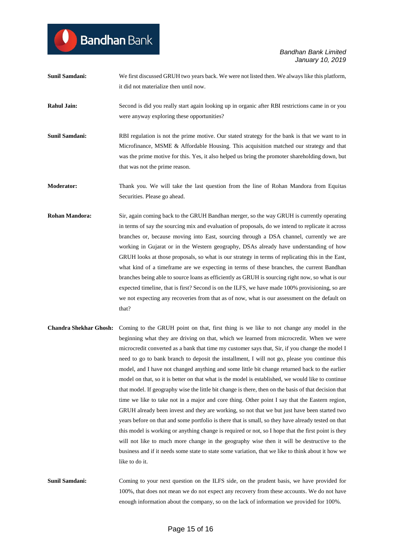**Sunil Samdani:** We first discussed GRUH two years back. We were not listed then. We always like this platform, it did not materialize then until now.

**Bandhan** Bank

**Rahul Jain:** Second is did you really start again looking up in organic after RBI restrictions came in or you were anyway exploring these opportunities?

- **Sunil Samdani:** RBI regulation is not the prime motive. Our stated strategy for the bank is that we want to in Microfinance, MSME & Affordable Housing. This acquisition matched our strategy and that was the prime motive for this. Yes, it also helped us bring the promoter shareholding down, but that was not the prime reason.
- **Moderator:** Thank you. We will take the last question from the line of Rohan Mandora from Equitas Securities. Please go ahead.
- **Rohan Mandora:** Sir, again coming back to the GRUH Bandhan merger, so the way GRUH is currently operating in terms of say the sourcing mix and evaluation of proposals, do we intend to replicate it across branches or, because moving into East, sourcing through a DSA channel, currently we are working in Gujarat or in the Western geography, DSAs already have understanding of how GRUH looks at those proposals, so what is our strategy in terms of replicating this in the East, what kind of a timeframe are we expecting in terms of these branches, the current Bandhan branches being able to source loans as efficiently as GRUH is sourcing right now, so what is our expected timeline, that is first? Second is on the ILFS, we have made 100% provisioning, so are we not expecting any recoveries from that as of now, what is our assessment on the default on that?
- **Chandra Shekhar Ghosh:** Coming to the GRUH point on that, first thing is we like to not change any model in the beginning what they are driving on that, which we learned from microcredit. When we were microcredit converted as a bank that time my customer says that, Sir, if you change the model I need to go to bank branch to deposit the installment, I will not go, please you continue this model, and I have not changed anything and some little bit change returned back to the earlier model on that, so it is better on that what is the model is established, we would like to continue that model. If geography wise the little bit change is there, then on the basis of that decision that time we like to take not in a major and core thing. Other point I say that the Eastern region, GRUH already been invest and they are working, so not that we but just have been started two years before on that and some portfolio is there that is small, so they have already tested on that this model is working or anything change is required or not, so I hope that the first point is they will not like to much more change in the geography wise then it will be destructive to the business and if it needs some state to state some variation, that we like to think about it how we like to do it.
- **Sunil Samdani:** Coming to your next question on the ILFS side, on the prudent basis, we have provided for 100%, that does not mean we do not expect any recovery from these accounts. We do not have enough information about the company, so on the lack of information we provided for 100%.